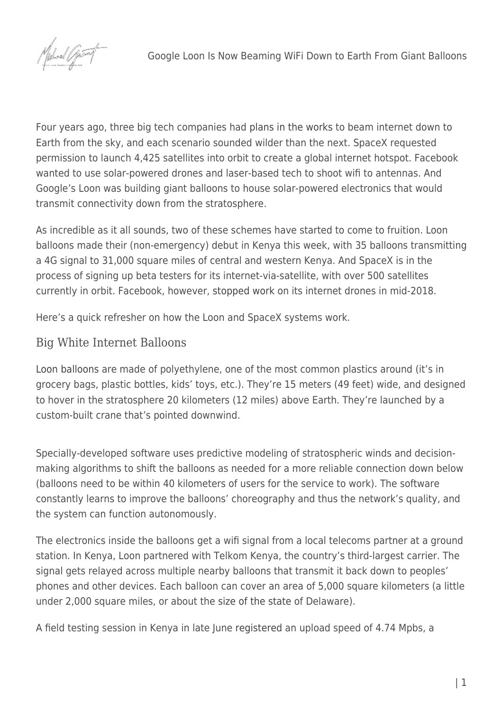

Four years ago, three big tech companies had [plans in the works](https://singularityhub.com/2016/11/21/the-race-to-wrap-the-earth-in-internet-is-heating-up/) to beam internet down to Earth from the sky, and each scenario sounded wilder than the next. SpaceX requested permission to launch 4,425 satellites into orbit to create a global internet hotspot. Facebook wanted to use solar-powered drones and laser-based tech to shoot wifi to antennas. And Google's Loon was building giant balloons to house solar-powered electronics that would transmit connectivity down from the stratosphere.

As incredible as it all sounds, two of these schemes have started to come to fruition. Loon balloons made their (non-emergency) debut in Kenya this week, with 35 balloons transmitting a 4G signal to 31,000 square miles of central and western Kenya. And SpaceX is in the process of signing up beta testers for its internet-via-satellite, with over 500 satellites currently in orbit. Facebook, however, [stopped work](https://www.nytimes.com/2018/06/27/technology/facebook-drone-internet.html) on its internet drones in mid-2018.

Here's a quick refresher on how the Loon and SpaceX systems work.

## Big White Internet Balloons

[Loon balloons](https://loon.com/technology/) are made of polyethylene, one of the most common plastics around (it's in grocery bags, plastic bottles, kids' toys, etc.). They're 15 meters (49 feet) wide, and designed to hover in the stratosphere 20 kilometers (12 miles) above Earth. They're launched by a custom-built crane that's pointed downwind.

Specially-developed software uses predictive modeling of stratospheric winds and decisionmaking algorithms to shift the balloons as needed for a more reliable connection down below (balloons need to be within 40 kilometers of users for the service to work). The software constantly learns to improve the balloons' choreography and thus the network's quality, and the system can function autonomously.

The electronics inside the balloons get a wifi signal from a local telecoms partner at a ground station. In Kenya, Loon partnered with Telkom Kenya, the country's third-largest carrier. The signal gets relayed across multiple nearby balloons that transmit it back down to peoples' phones and other devices. Each balloon can cover an area of 5,000 square kilometers (a little under 2,000 square miles, or about the [size of the state](https://statesymbolsusa.org/symbol-official-item/national-us/uncategorized/states-size) of Delaware).

A field testing session in Kenya in late June [registered](https://telkom.co.ke/telkom-and-loon-announce-progressive-deployment-loon-technology-customers-july) an upload speed of 4.74 Mpbs, a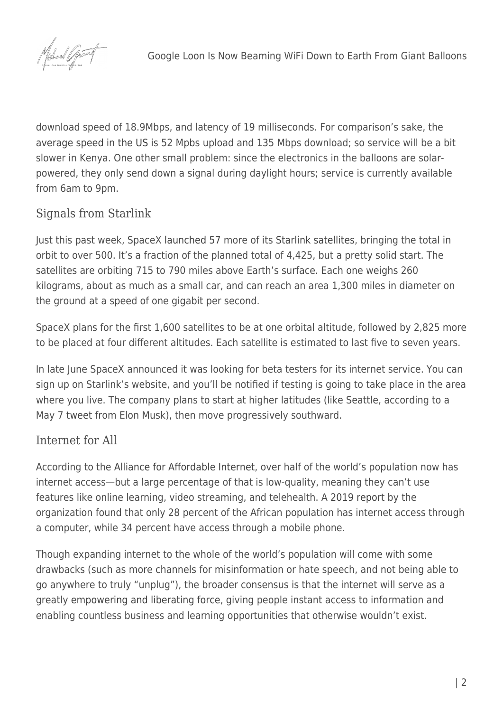

download speed of 18.9Mbps, and latency of 19 milliseconds. For comparison's sake, the [average speed in the US](https://www.allconnect.com/blog/us-internet-speeds-globally) is 52 Mpbs upload and 135 Mbps download; so service will be a bit slower in Kenya. One other small problem: since the electronics in the balloons are solarpowered, they only send down a signal during daylight hours; service is currently available from 6am to 9pm.

## Signals from Starlink

Just this past week, SpaceX [launched 57](https://www.space.com/spacex-starlink-internet-satellites-july-2020-launch-webcast.html) more of its [Starlink satellites,](https://www.starlink.com/) bringing the total in orbit to over 500. It's a fraction of the planned total of 4,425, but a pretty solid start. The satellites are orbiting 715 to 790 miles above Earth's surface. Each one weighs 260 kilograms, about as much as a small car, and can reach an area 1,300 miles in diameter on the ground at a speed of one gigabit per second.

SpaceX plans for the first 1,600 satellites to be at one orbital altitude, followed by 2,825 more to be placed at four different altitudes. Each satellite is estimated to last five to seven years.

In late June SpaceX announced it was looking for beta testers for its internet service. You can sign up on Starlink's website, and you'll be notified if testing is going to take place in the area where you live. The company plans to start at higher latitudes (like Seattle, according to a May 7 [tweet](https://twitter.com/elonmusk/status/1258513259168010240) from Elon Musk), then move progressively southward.

## Internet for All

According to the [Alliance for Affordable Internet,](https://a4ai.org/) over half of the world's population now has internet access—but a large percentage of that is low-quality, meaning they can't use features like online learning, video streaming, and telehealth. A [2019 report](https://1e8q3q16vyc81g8l3h3md6q5f5e-wpengine.netdna-ssl.com/wp-content/uploads/2019/12/AR2019_Africa-Regional_Screen_AW.pdf) by the organization found that only 28 percent of the African population has internet access through a computer, while 34 percent have access through a mobile phone.

Though expanding internet to the whole of the world's population will come with some drawbacks (such as more channels for misinformation or hate speech, and not being able to go anywhere to truly "unplug"), the broader consensus is that the internet will serve as a greatly [empowering and liberating force,](https://singularityhub.com/2018/07/27/4-billion-new-minds-online-the-coming-era-of-connectivity/) giving people instant access to information and enabling countless business and learning opportunities that otherwise wouldn't exist.